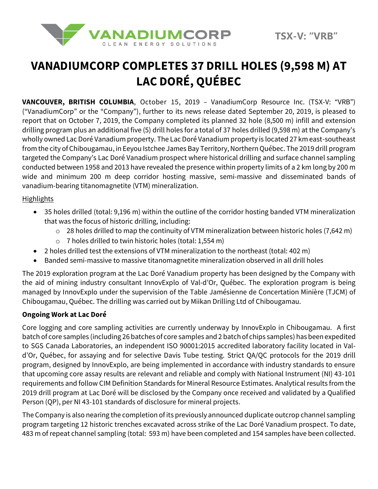

# **VANADIUMCORP COMPLETES 37 DRILL HOLES (9,598 M) AT LAC DORÉ, QUÉBEC**

**VANCOUVER, BRITISH COLUMBIA**, October 15, 2019 – VanadiumCorp Resource Inc. (TSX-V: "VRB") ("VanadiumCorp" or the "Company"), further to its news release dated September 20, 2019, is pleased to report that on October 7, 2019, the Company completed its planned 32 hole (8,500 m) infill and extension drilling program plus an additional five (5) drill holes for a total of 37 holes drilled (9,598 m) at the Company's wholly owned Lac Doré Vanadium property. The Lac Doré Vanadium property is located 27 km east-southeast from the city of Chibougamau, in Eeyou Istchee James Bay Territory, Northern Québec. The 2019 drill program targeted the Company's Lac Doré Vanadium prospect where historical drilling and surface channel sampling conducted between 1958 and 2013 have revealed the presence within property limits of a 2 km long by 200 m wide and minimum 200 m deep corridor hosting massive, semi-massive and disseminated bands of vanadium-bearing titanomagnetite (VTM) mineralization.

### **Highlights**

- 35 holes drilled (total: 9,196 m) within the outline of the corridor hosting banded VTM mineralization that was the focus of historic drilling, including:
	- o 28 holes drilled to map the continuity of VTM mineralization between historic holes (7,642 m)
	- o 7 holes drilled to twin historic holes (total: 1,554 m)
- 2 holes drilled test the extensions of VTM mineralization to the northeast (total: 402 m)
- Banded semi-massive to massive titanomagnetite mineralization observed in all drill holes

The 2019 exploration program at the Lac Doré Vanadium property has been designed by the Company with the aid of mining industry consultant InnovExplo of Val-d'Or, Québec. The exploration program is being managed by InnovExplo under the supervision of the Table Jamésienne de Concertation Minière (TJCM) of Chibougamau, Québec. The drilling was carried out by Miikan Drilling Ltd of Chibougamau.

### **Ongoing Work at Lac Doré**

Core logging and core sampling activities are currently underway by InnovExplo in Chibougamau. A first batch of core samples (including 26 batches of core samples and 2 batch of chips samples) has been expedited to SGS Canada Laboratories, an independent ISO 90001:2015 accredited laboratory facility located in Vald'Or, Québec, for assaying and for selective Davis Tube testing. Strict QA/QC protocols for the 2019 drill program, designed by InnovExplo, are being implemented in accordance with industry standards to ensure that upcoming core assay results are relevant and reliable and comply with National Instrument (NI) 43-101 requirements and follow CIM Definition Standards for Mineral Resource Estimates. Analytical results from the 2019 drill program at Lac Doré will be disclosed by the Company once received and validated by a Qualified Person (QP), per NI 43-101 standards of disclosure for mineral projects.

The Company is also nearing the completion of its previously announced duplicate outcrop channel sampling program targeting 12 historic trenches excavated across strike of the Lac Doré Vanadium prospect. To date, 483 m of repeat channel sampling (total: 593 m) have been completed and 154 samples have been collected.